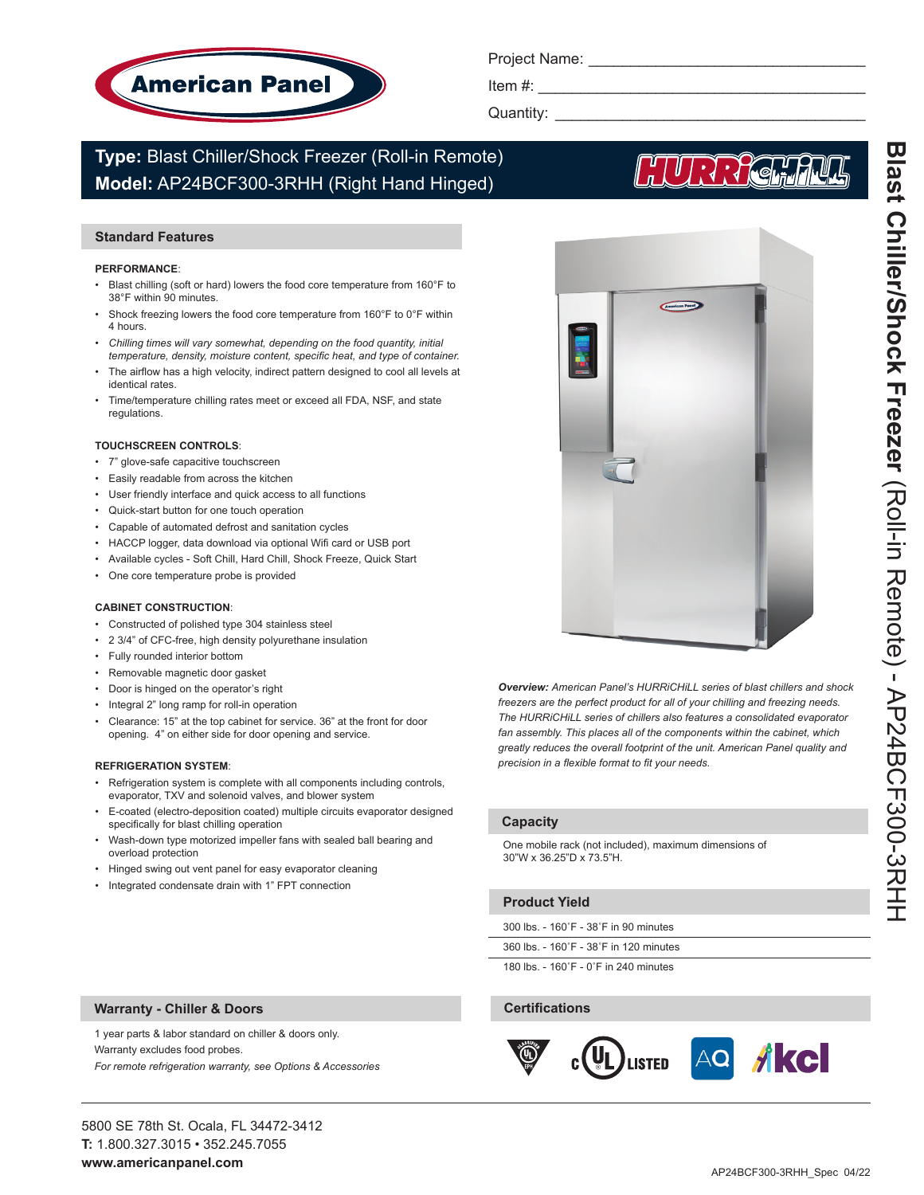

Project Name:

Item  $#$ :

Quantity: \_

# **Type:** Blast Chiller/Shock Freezer (Roll-in Remote) **Model:** AP24BCF300-3RHH (Right Hand Hinged)

# **Standard Features**

#### **PERFORMANCE**:

- Blast chilling (soft or hard) lowers the food core temperature from 160°F to 38°F within 90 minutes.
- Shock freezing lowers the food core temperature from 160°F to 0°F within 4 hours.
- Chilling times will vary somewhat, depending on the food quantity, initial *temperature, density, moisture content, specific heat, and type of container.*
- The airflow has a high velocity, indirect pattern designed to cool all levels at identical rates.
- Time/temperature chilling rates meet or exceed all FDA, NSF, and state regulations.

#### **TOUCHSCREEN CONTROLS**:

- 7" glove-safe capacitive touchscreen
- Easily readable from across the kitchen
- User friendly interface and quick access to all functions
- Quick-start button for one touch operation
- Capable of automated defrost and sanitation cycles
- HACCP logger, data download via optional Wifi card or USB port
- Available cycles Soft Chill, Hard Chill, Shock Freeze, Quick Start
- One core temperature probe is provided

#### **CABINET CONSTRUCTION**:

- Constructed of polished type 304 stainless steel
- 2 3/4" of CFC-free, high density polyurethane insulation
- Fully rounded interior bottom
- Removable magnetic door gasket
- Door is hinged on the operator's right
- Integral 2" long ramp for roll-in operation
- Clearance: 15" at the top cabinet for service. 36" at the front for door opening. 4" on either side for door opening and service.

#### **REFRIGERATION SYSTEM**:

- Refrigeration system is complete with all components including controls, evaporator, TXV and solenoid valves, and blower system
- E-coated (electro-deposition coated) multiple circuits evaporator designed specifically for blast chilling operation
- Wash-down type motorized impeller fans with sealed ball bearing and overload protection
- Hinged swing out vent panel for easy evaporator cleaning
- Integrated condensate drain with 1" FPT connection

1 year parts & labor standard on chiller & doors only.

*For remote refrigeration warranty, see Options & Accessories*



*Overview: American Panel's HURRiCHiLL series of blast chillers and shock freezers are the perfect product for all of your chilling and freezing needs. The HURRiCHiLL series of chillers also features a consolidated evaporator fan assembly. This places all of the components within the cabinet, which greatly reduces the overall footprint of the unit. American Panel quality and precision in a flexible format to fit your needs.* 

# **Capacity**

One mobile rack (not included), maximum dimensions of 30"W x 36.25"D x 73.5"H.

# **Product Yield**

300 lbs. - 160˚F - 38˚F in 90 minutes

360 lbs. - 160˚F - 38˚F in 120 minutes

180 lbs. - 160˚F - 0˚F in 240 minutes

# **Certifications**



**Warranty - Chiller & Doors**

Warranty excludes food probes.